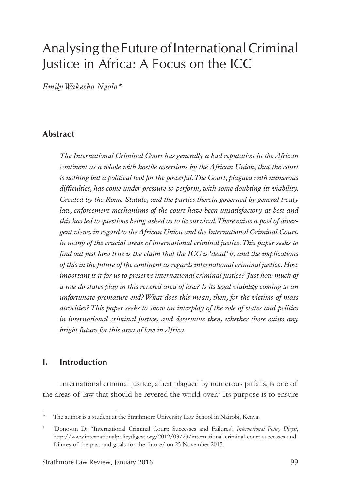# Analysing the Future of International Criminal Justice in Africa: A Focus on the ICC

*Emily Wakesho Ngolo\**

#### **Abstract**

*The International Criminal Court has generally a bad reputation in the African continent as a whole with hostile assertions by the African Union, that the court is nothing but a political tool for the powerful. The Court, plagued with numerous difficulties, has come under pressure to perform, with some doubting its viability. Created by the Rome Statute, and the parties therein governed by general treaty law, enforcement mechanisms of the court have been unsatisfactory at best and this has led to questions being asked as to its survival. There exists a pool of divergent views, in regard to the African Union and the International Criminal Court, in many of the crucial areas of international criminal justice. This paper seeks to find out just how true is the claim that the ICC is 'dead' is, and the implications of this in the future of the continent as regards international criminal justice. How important is it for us to preserve international criminal justice? Just how much of a role do states play in this revered area of law? Is its legal viability coming to an unfortunate premature end? What does this mean, then, for the victims of mass atrocities? This paper seeks to show an interplay of the role of states and politics in international criminal justice, and determine then, whether there exists any bright future for this area of law in Africa.* 

#### **I. Introduction**

International criminal justice, albeit plagued by numerous pitfalls, is one of the areas of law that should be revered the world over.<sup>1</sup> Its purpose is to ensure

<sup>\*</sup> The author is a student at the Strathmore University Law School in Nairobi, Kenya.

<sup>1</sup> 'Donovan D: "International Criminal Court: Successes and Failures', *International Policy Digest*, http://www.internationalpolicydigest.org/2012/03/23/international-criminal-court-successes-andfailures-of-the-past-and-goals-for-the-future/ on 25 November 2015.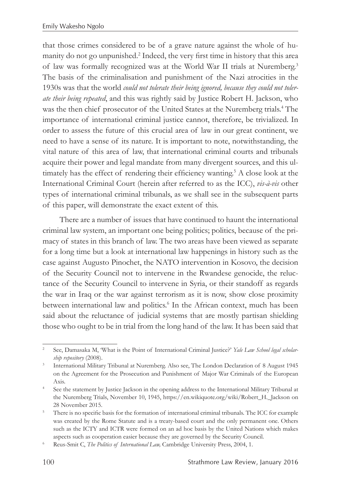that those crimes considered to be of a grave nature against the whole of humanity do not go unpunished.<sup>2</sup> Indeed, the very first time in history that this area of law was formally recognized was at the World War II trials at Nuremberg.3 The basis of the criminalisation and punishment of the Nazi atrocities in the 1930s was that the world *could not tolerate their being ignored, because they could not tolerate their being repeated*, and this was rightly said by Justice Robert H. Jackson, who was the then chief prosecutor of the United States at the Nuremberg trials.<sup>4</sup> The importance of international criminal justice cannot, therefore, be trivialized. In order to assess the future of this crucial area of law in our great continent, we need to have a sense of its nature. It is important to note, notwithstanding, the vital nature of this area of law, that international criminal courts and tribunals acquire their power and legal mandate from many divergent sources, and this ultimately has the effect of rendering their efficiency wanting.<sup>5</sup> A close look at the International Criminal Court (herein after referred to as the ICC), *vis-à-vis* other types of international criminal tribunals, as we shall see in the subsequent parts of this paper, will demonstrate the exact extent of this.

There are a number of issues that have continued to haunt the international criminal law system, an important one being politics; politics, because of the primacy of states in this branch of law. The two areas have been viewed as separate for a long time but a look at international law happenings in history such as the case against Augusto Pinochet, the NATO intervention in Kosovo, the decision of the Security Council not to intervene in the Rwandese genocide, the reluctance of the Security Council to intervene in Syria, or their standoff as regards the war in Iraq or the war against terrorism as it is now, show close proximity between international law and politics.<sup>6</sup> In the African context, much has been said about the reluctance of judicial systems that are mostly partisan shielding those who ought to be in trial from the long hand of the law. It has been said that

<sup>2</sup> See, Damasaka M, 'What is the Point of International Criminal Justice?' *Yale Law School legal scholarship repository* (2008).

<sup>3</sup> International Military Tribunal at Nuremberg. Also see, The London Declaration of 8 August 1945 on the Agreement for the Prosecution and Punishment of Major War Criminals of the European Axis.

<sup>4</sup> See the statement by Justice Jackson in the opening address to the International Military Tribunal at the Nuremberg Trials, November 10, 1945, https://en.wikiquote.org/wiki/Robert\_H.\_Jackson on 28 November 2015.

<sup>&</sup>lt;sup>5</sup> There is no specific basis for the formation of international criminal tribunals. The ICC for example was created by the Rome Statute and is a treaty-based court and the only permanent one. Others such as the ICTY and ICTR were formed on an ad hoc basis by the United Nations which makes aspects such as cooperation easier because they are governed by the Security Council.

<sup>6</sup> Reus-Smit C, *The Politics of International Law,* Cambridge University Press, 2004, 1.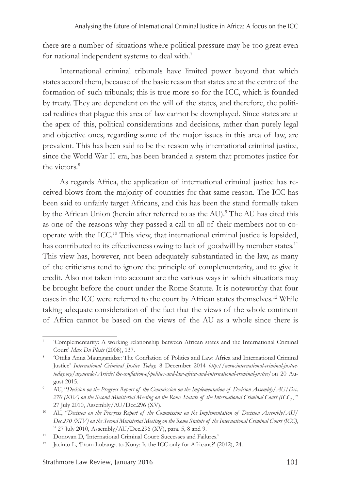there are a number of situations where political pressure may be too great even for national independent systems to deal with.7

International criminal tribunals have limited power beyond that which states accord them, because of the basic reason that states are at the centre of the formation of such tribunals; this is true more so for the ICC, which is founded by treaty. They are dependent on the will of the states, and therefore, the political realities that plague this area of law cannot be downplayed. Since states are at the apex of this, political considerations and decisions, rather than purely legal and objective ones, regarding some of the major issues in this area of law, are prevalent. This has been said to be the reason why international criminal justice, since the World War II era, has been branded a system that promotes justice for the victors<sup>8</sup>

As regards Africa, the application of international criminal justice has received blows from the majority of countries for that same reason. The ICC has been said to unfairly target Africans, and this has been the stand formally taken by the African Union (herein after referred to as the AU).<sup>9</sup> The AU has cited this as one of the reasons why they passed a call to all of their members not to cooperate with the ICC.10 This view, that international criminal justice is lopsided, has contributed to its effectiveness owing to lack of goodwill by member states.<sup>11</sup> This view has, however, not been adequately substantiated in the law, as many of the criticisms tend to ignore the principle of complementarity, and to give it credit. Also not taken into account are the various ways in which situations may be brought before the court under the Rome Statute. It is noteworthy that four cases in the ICC were referred to the court by African states themselves.12 While taking adequate consideration of the fact that the views of the whole continent of Africa cannot be based on the views of the AU as a whole since there is

<sup>7</sup> 'Complementarity: A working relationship between African states and the International Criminal Court' *Max Du Plesis* (2008), 137.

<sup>8</sup> 'Ottilia Anna Maunganidze: The Conflation of Politics and Law: Africa and International Criminal Justice' *International Criminal Justice Today,* 8 December 2014 *http://www.international-criminal-justicetoday.org/arguendo/Article/the-conflation-of-politics-and-law-africa-and-international-criminal-justice/*on 20 August 2015.

<sup>9</sup> AU, "*Decision on the Progress Report of the Commission on the Implementation of Decision Assembly/AU/Dec. 270 (XIV) on the Second Ministerial Meeting on the Rome Statute of the International Criminal Court (ICC)*, " 27 July 2010, Assembly/AU/Dec.296 (XV).

<sup>10</sup> AU, "*Decision on the Progress Report of the Commission on the Implementation of Decision Assembly/AU/ Dec.270 (XIV) on the Second Ministerial Meeting on the Rome Statute of the International Criminal Court (ICC)*, " 27 July 2010, Assembly/AU/Dec.296 (XV), para. 5, 8 and 9.

<sup>11</sup> Donovan D, 'International Criminal Court: Successes and Failures.'

<sup>&</sup>lt;sup>12</sup> Jacinto L, 'From Lubanga to Kony: Is the ICC only for Africans?' (2012), 24.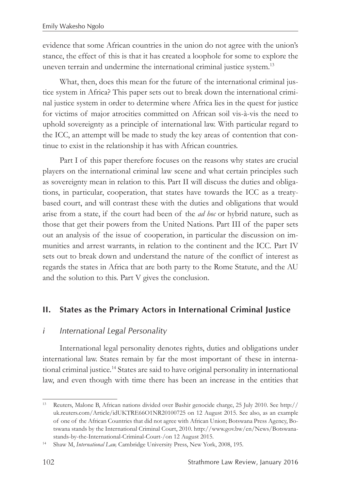evidence that some African countries in the union do not agree with the union's stance, the effect of this is that it has created a loophole for some to explore the uneven terrain and undermine the international criminal justice system.<sup>13</sup>

What, then, does this mean for the future of the international criminal justice system in Africa? This paper sets out to break down the international criminal justice system in order to determine where Africa lies in the quest for justice for victims of major atrocities committed on African soil vis-à-vis the need to uphold sovereignty as a principle of international law. With particular regard to the ICC, an attempt will be made to study the key areas of contention that continue to exist in the relationship it has with African countries.

Part I of this paper therefore focuses on the reasons why states are crucial players on the international criminal law scene and what certain principles such as sovereignty mean in relation to this. Part II will discuss the duties and obligations, in particular, cooperation, that states have towards the ICC as a treatybased court, and will contrast these with the duties and obligations that would arise from a state, if the court had been of the *ad hoc* or hybrid nature, such as those that get their powers from the United Nations. Part III of the paper sets out an analysis of the issue of cooperation, in particular the discussion on immunities and arrest warrants, in relation to the continent and the ICC. Part IV sets out to break down and understand the nature of the conflict of interest as regards the states in Africa that are both party to the Rome Statute, and the AU and the solution to this. Part V gives the conclusion.

## **II. States as the Primary Actors in International Criminal Justice**

#### *i International Legal Personality*

International legal personality denotes rights, duties and obligations under international law. States remain by far the most important of these in international criminal justice.14 States are said to have original personality in international law, and even though with time there has been an increase in the entities that

<sup>13</sup> Reuters, Malone B, African nations divided over Bashir genocide charge, 25 July 2010. See http:// uk.reuters.com/Article/idUKTRE66O1NR20100725 on 12 August 2015. See also, as an example of one of the African Countries that did not agree with African Union; Botswana Press Agency, Botswana stands by the International Criminal Court, 2010. http://www.gov.bw/en/News/Botswanastands-by-the-International-Criminal-Court-/on 12 August 2015.

<sup>14</sup> Shaw M, *International Law,* Cambridge University Press, New York, 2008, 195*.*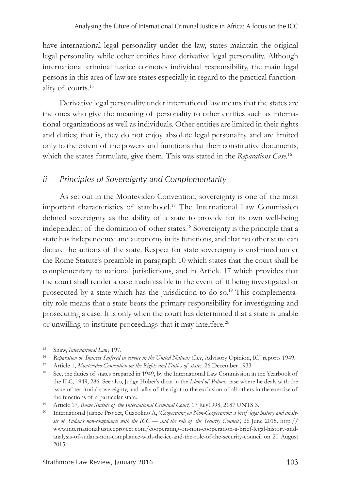have international legal personality under the law, states maintain the original legal personality while other entities have derivative legal personality. Although international criminal justice connotes individual responsibility, the main legal persons in this area of law are states especially in regard to the practical functionality of courts.15

Derivative legal personality under international law means that the states are the ones who give the meaning of personality to other entities such as international organizations as well as individuals. Other entities are limited in their rights and duties; that is, they do not enjoy absolute legal personality and are limited only to the extent of the powers and functions that their constitutive documents, which the states formulate, give them. This was stated in the *Reparations Case*. 16

# *ii Principles of Sovereignty and Complementarity*

As set out in the Montevideo Convention, sovereignty is one of the most important characteristics of statehood.17 The International Law Commission defined sovereignty as the ability of a state to provide for its own well-being independent of the dominion of other states.18 Sovereignty is the principle that a state has independence and autonomy in its functions, and that no other state can dictate the actions of the state. Respect for state sovereignty is enshrined under the Rome Statute's preamble in paragraph 10 which states that the court shall be complementary to national jurisdictions, and in Article 17 which provides that the court shall render a case inadmissible in the event of it being investigated or prosecuted by a state which has the jurisdiction to do so.<sup>19</sup> This complementarity role means that a state bears the primary responsibility for investigating and prosecuting a case. It is only when the court has determined that a state is unable or unwilling to institute proceedings that it may interfere.<sup>20</sup>

<sup>15</sup> Shaw, *International Law*, 197.

<sup>16</sup> *Reparation of Injuries Suffered in service in the United Nations Case*, Advisory Opinion, ICJ reports 1949.

<sup>&</sup>lt;sup>17</sup> Article 1, *Montevideo Convention on the Rights and Duties of states,* 26 December 1933.<br><sup>18</sup> See the duties of states prepared in 1949 by the International Law Commission is

See, the duties of states prepared in 1949, by the International Law Commission in the Yearbook of the ILC, 1949, 286. See also, Judge Huber's dicta in the *Island of Palmas* case where he deals with the issue of territorial sovereignty, and talks of the right to the exclusion of all others in the exercise of the functions of a particular state.

<sup>&</sup>lt;sup>19</sup> Article 17, Rome Statute of the International Criminal Court, 17 July1998, 2187 UNTS 3.

<sup>&</sup>lt;sup>20</sup> International Justice Project, Cuzzolino A, '*Cooperating on Non-Cooperation: a brief legal history and analysis of Sudan's non-compliance with the ICC — and the role of the Security Council',* 26 June 2015. http:// www.internationaljusticeproject.com/cooperating-on-non-cooperation-a-brief-legal-history-andanalysis-of-sudans-non-compliance-with-the-icc-and-the-role-of-the-security-council on 20 August 2015.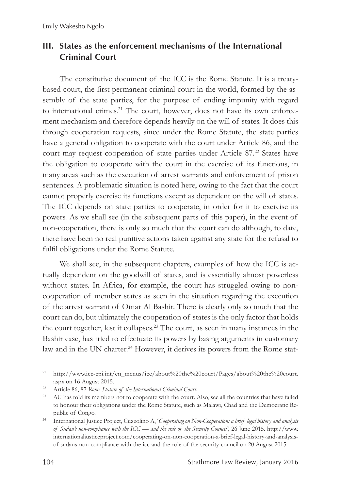# **III. States as the enforcement mechanisms of the International Criminal Court**

The constitutive document of the ICC is the Rome Statute. It is a treatybased court, the first permanent criminal court in the world, formed by the assembly of the state parties, for the purpose of ending impunity with regard to international crimes.<sup>21</sup> The court, however, does not have its own enforcement mechanism and therefore depends heavily on the will of states. It does this through cooperation requests, since under the Rome Statute, the state parties have a general obligation to cooperate with the court under Article 86, and the court may request cooperation of state parties under Article 87.<sup>22</sup> States have the obligation to cooperate with the court in the exercise of its functions, in many areas such as the execution of arrest warrants and enforcement of prison sentences. A problematic situation is noted here, owing to the fact that the court cannot properly exercise its functions except as dependent on the will of states. The ICC depends on state parties to cooperate, in order for it to exercise its powers. As we shall see (in the subsequent parts of this paper), in the event of non-cooperation, there is only so much that the court can do although, to date, there have been no real punitive actions taken against any state for the refusal to fulfil obligations under the Rome Statute.

We shall see, in the subsequent chapters, examples of how the ICC is actually dependent on the goodwill of states, and is essentially almost powerless without states. In Africa, for example, the court has struggled owing to noncooperation of member states as seen in the situation regarding the execution of the arrest warrant of Omar Al Bashir. There is clearly only so much that the court can do, but ultimately the cooperation of states is the only factor that holds the court together, lest it collapses.23 The court, as seen in many instances in the Bashir case, has tried to effectuate its powers by basing arguments in customary law and in the UN charter.<sup>24</sup> However, it derives its powers from the Rome stat-

<sup>&</sup>lt;sup>21</sup> http://www.icc-cpi.int/en\_menus/icc/about%20the%20court/Pages/about%20the%20court. aspx on 16 August 2015.

<sup>&</sup>lt;sup>22</sup> Article 86, 87 *Rome Statute of the International Criminal Court*.<br><sup>23</sup> AU has told its members not to cooperate with the court. Also, see all the countries that have failed to honour their obligations under the Rome Statute, such as Malawi, Chad and the Democratic Republic of Congo.

<sup>24</sup> International Justice Project, Cuzzolino A, '*Cooperating on Non-Cooperation: a brief legal history and analysis of Sudan's non-compliance with the ICC — and the role of the Security Council',* 26 June 2015. http://www. internationaljusticeproject.com/cooperating-on-non-cooperation-a-brief-legal-history-and-analysisof-sudans-non-compliance-with-the-icc-and-the-role-of-the-security-council on 20 August 2015.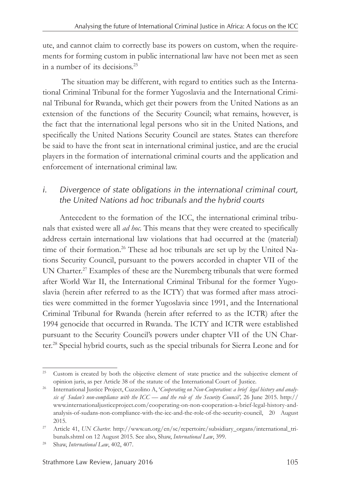ute, and cannot claim to correctly base its powers on custom, when the requirements for forming custom in public international law have not been met as seen in a number of its decisions.25

 The situation may be different, with regard to entities such as the International Criminal Tribunal for the former Yugoslavia and the International Criminal Tribunal for Rwanda, which get their powers from the United Nations as an extension of the functions of the Security Council; what remains, however, is the fact that the international legal persons who sit in the United Nations, and specifically the United Nations Security Council are states. States can therefore be said to have the front seat in international criminal justice, and are the crucial players in the formation of international criminal courts and the application and enforcement of international criminal law.

# *i. Divergence of state obligations in the international criminal court, the United Nations ad hoc tribunals and the hybrid courts*

Antecedent to the formation of the ICC, the international criminal tribunals that existed were all *ad hoc*. This means that they were created to specifically address certain international law violations that had occurred at the (material) time of their formation.<sup>26</sup> These ad hoc tribunals are set up by the United Nations Security Council, pursuant to the powers accorded in chapter VII of the UN Charter.<sup>27</sup> Examples of these are the Nuremberg tribunals that were formed after World War II, the International Criminal Tribunal for the former Yugoslavia (herein after referred to as the ICTY) that was formed after mass atrocities were committed in the former Yugoslavia since 1991, and the International Criminal Tribunal for Rwanda (herein after referred to as the ICTR) after the 1994 genocide that occurred in Rwanda. The ICTY and ICTR were established pursuant to the Security Council's powers under chapter VII of the UN Charter.28 Special hybrid courts, such as the special tribunals for Sierra Leone and for

<sup>&</sup>lt;sup>25</sup> Custom is created by both the objective element of state practice and the subjective element of opinion juris, as per Article 38 of the statute of the International Court of Justice.

<sup>&</sup>lt;sup>26</sup> International Justice Project, Cuzzolino A, 'Cooperating on Non-Cooperation: a brief legal history and analy*sis of Sudan's non-compliance with the ICC — and the role of the Security Council',* 26 June 2015. http:// www.internationaljusticeproject.com/cooperating-on-non-cooperation-a-brief-legal-history-andanalysis-of-sudans-non-compliance-with-the-icc-and-the-role-of-the-security-council, 20 August 2015.

<sup>&</sup>lt;sup>27</sup> Article 41, *UN Charter.* http://www.un.org/en/sc/repertoire/subsidiary\_organs/international\_tribunals.shtml on 12 August 2015. See also, Shaw, *International Law*, 399.

<sup>28</sup> Shaw, *International Law*, 402, 407.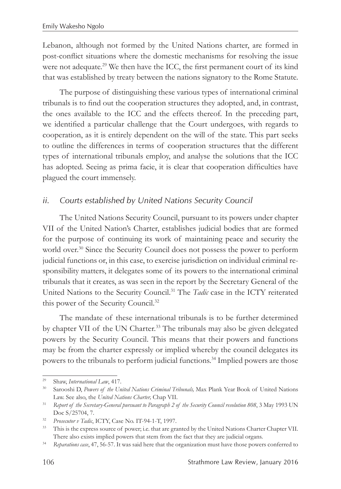Lebanon, although not formed by the United Nations charter, are formed in post-conflict situations where the domestic mechanisms for resolving the issue were not adequate.<sup>29</sup> We then have the ICC, the first permanent court of its kind that was established by treaty between the nations signatory to the Rome Statute.

The purpose of distinguishing these various types of international criminal tribunals is to find out the cooperation structures they adopted, and, in contrast, the ones available to the ICC and the effects thereof. In the preceding part, we identified a particular challenge that the Court undergoes, with regards to cooperation, as it is entirely dependent on the will of the state. This part seeks to outline the differences in terms of cooperation structures that the different types of international tribunals employ, and analyse the solutions that the ICC has adopted. Seeing as prima facie, it is clear that cooperation difficulties have plagued the court immensely.

### *ii. Courts established by United Nations Security Council*

The United Nations Security Council, pursuant to its powers under chapter VII of the United Nation's Charter, establishes judicial bodies that are formed for the purpose of continuing its work of maintaining peace and security the world over.<sup>30</sup> Since the Security Council does not possess the power to perform judicial functions or, in this case, to exercise jurisdiction on individual criminal responsibility matters, it delegates some of its powers to the international criminal tribunals that it creates, as was seen in the report by the Secretary General of the United Nations to the Security Council.31 The *Tadic* case in the ICTY reiterated this power of the Security Council.32

The mandate of these international tribunals is to be further determined by chapter VII of the UN Charter.<sup>33</sup> The tribunals may also be given delegated powers by the Security Council. This means that their powers and functions may be from the charter expressly or implied whereby the council delegates its powers to the tribunals to perform judicial functions.<sup>34</sup> Implied powers are those

<sup>29</sup> Shaw, *International Law*, 417.

<sup>30</sup> Sarooshi D, *Powers of the United Nations Criminal Tribunals,* Max Plank Year Book of United Nations Law. See also, the *United Nations Charter*, Chap VII.

<sup>31</sup> *Report of the Secretary-General pursuant to Paragraph 2 of the Security Council resolution 808*, 3 May 1993 UN Doc S/25704, 7.

<sup>32</sup> *Prosecutor v Tadic*, ICTY, Case No. IT-94-1-T, 1997.

<sup>&</sup>lt;sup>33</sup> This is the express source of power; i.e. that are granted by the United Nations Charter Chapter VII. There also exists implied powers that stem from the fact that they are judicial organs.

<sup>34</sup> *Reparations case*, 47, 56-57. It was said here that the organization must have those powers conferred to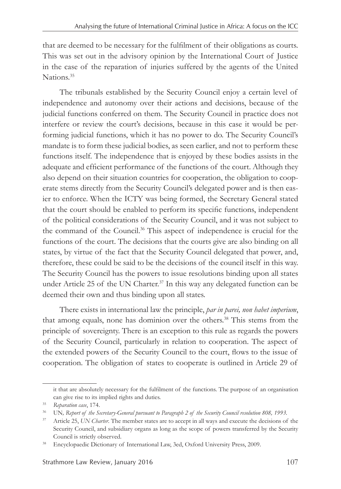that are deemed to be necessary for the fulfilment of their obligations as courts. This was set out in the advisory opinion by the International Court of Justice in the case of the reparation of injuries suffered by the agents of the United Nations<sup>35</sup>

The tribunals established by the Security Council enjoy a certain level of independence and autonomy over their actions and decisions, because of the judicial functions conferred on them. The Security Council in practice does not interfere or review the court's decisions, because in this case it would be performing judicial functions, which it has no power to do. The Security Council's mandate is to form these judicial bodies, as seen earlier, and not to perform these functions itself. The independence that is enjoyed by these bodies assists in the adequate and efficient performance of the functions of the court. Although they also depend on their situation countries for cooperation, the obligation to cooperate stems directly from the Security Council's delegated power and is then easier to enforce. When the ICTY was being formed, the Secretary General stated that the court should be enabled to perform its specific functions, independent of the political considerations of the Security Council, and it was not subject to the command of the Council.36 This aspect of independence is crucial for the functions of the court. The decisions that the courts give are also binding on all states, by virtue of the fact that the Security Council delegated that power, and, therefore, these could be said to be the decisions of the council itself in this way. The Security Council has the powers to issue resolutions binding upon all states under Article 25 of the UN Charter.<sup>37</sup> In this way any delegated function can be deemed their own and thus binding upon all states.

There exists in international law the principle, *par in parei, non habet imperium*, that among equals, none has dominion over the others.<sup>38</sup> This stems from the principle of sovereignty. There is an exception to this rule as regards the powers of the Security Council, particularly in relation to cooperation. The aspect of the extended powers of the Security Council to the court, flows to the issue of cooperation. The obligation of states to cooperate is outlined in Article 29 of

it that are absolutely necessary for the fulfilment of the functions. The purpose of an organisation can give rise to its implied rights and duties. 35 *Reparation case*, 174.

<sup>36</sup> UN*, Report of the Secretary-General pursuant to Paragraph 2 of the Security Council resolution 808, 1993.* 

<sup>&</sup>lt;sup>37</sup> Article 25, *UN Charter*. The member states are to accept in all ways and execute the decisions of the Security Council, and subsidiary organs as long as the scope of powers transferred by the Security Council is strictly observed.

<sup>&</sup>lt;sup>38</sup> Encyclopaedic Dictionary of International Law, 3ed, Oxford University Press, 2009.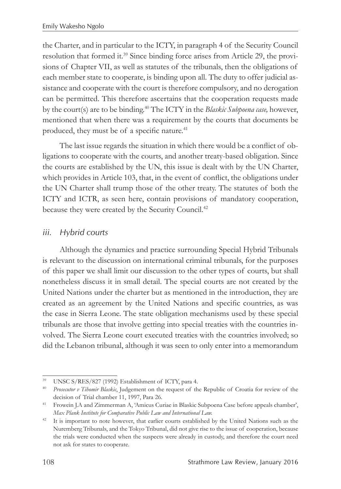the Charter, and in particular to the ICTY, in paragraph 4 of the Security Council resolution that formed it.39 Since binding force arises from Article 29, the provisions of Chapter VII, as well as statutes of the tribunals, then the obligations of each member state to cooperate, is binding upon all. The duty to offer judicial assistance and cooperate with the court is therefore compulsory, and no derogation can be permitted. This therefore ascertains that the cooperation requests made by the court(s) are to be binding.40 The ICTY in the *Blaskic Subpoena case,* however, mentioned that when there was a requirement by the courts that documents be produced, they must be of a specific nature.<sup>41</sup>

The last issue regards the situation in which there would be a conflict of obligations to cooperate with the courts, and another treaty-based obligation. Since the courts are established by the UN, this issue is dealt with by the UN Charter, which provides in Article 103, that, in the event of conflict, the obligations under the UN Charter shall trump those of the other treaty. The statutes of both the ICTY and ICTR, as seen here, contain provisions of mandatory cooperation, because they were created by the Security Council.<sup>42</sup>

#### *iii. Hybrid courts*

Although the dynamics and practice surrounding Special Hybrid Tribunals is relevant to the discussion on international criminal tribunals, for the purposes of this paper we shall limit our discussion to the other types of courts, but shall nonetheless discuss it in small detail. The special courts are not created by the United Nations under the charter but as mentioned in the introduction, they are created as an agreement by the United Nations and specific countries, as was the case in Sierra Leone. The state obligation mechanisms used by these special tribunals are those that involve getting into special treaties with the countries involved. The Sierra Leone court executed treaties with the countries involved; so did the Lebanon tribunal, although it was seen to only enter into a memorandum

<sup>39</sup> UNSC S/RES/827 (1992) Establishment of ICTY, para 4.

<sup>40</sup> *Prosecutor v Tihomir Blaskic*, Judgement on the request of the Republic of Croatia for review of the decision of Trial chamber 11, 1997, Para 26.

<sup>41</sup> Frowein J.A and Zimmerman A, 'Amicus Curiae in Blaskic Subpoena Case before appeals chamber', *Max Plank Institute for Comparative Public Law and International Law.*

<sup>&</sup>lt;sup>42</sup> It is important to note however, that earlier courts established by the United Nations such as the Nuremberg Tribunals, and the Tokyo Tribunal, did not give rise to the issue of cooperation, because the trials were conducted when the suspects were already in custody, and therefore the court need not ask for states to cooperate.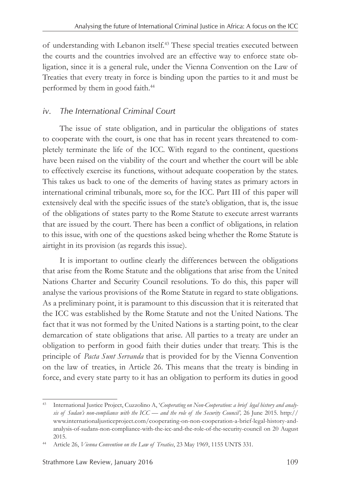of understanding with Lebanon itself.43 These special treaties executed between the courts and the countries involved are an effective way to enforce state obligation, since it is a general rule, under the Vienna Convention on the Law of Treaties that every treaty in force is binding upon the parties to it and must be performed by them in good faith.<sup>44</sup>

# *iv. The International Criminal Court*

The issue of state obligation, and in particular the obligations of states to cooperate with the court, is one that has in recent years threatened to completely terminate the life of the ICC. With regard to the continent, questions have been raised on the viability of the court and whether the court will be able to effectively exercise its functions, without adequate cooperation by the states. This takes us back to one of the demerits of having states as primary actors in international criminal tribunals, more so, for the ICC. Part III of this paper will extensively deal with the specific issues of the state's obligation, that is, the issue of the obligations of states party to the Rome Statute to execute arrest warrants that are issued by the court. There has been a conflict of obligations, in relation to this issue, with one of the questions asked being whether the Rome Statute is airtight in its provision (as regards this issue).

It is important to outline clearly the differences between the obligations that arise from the Rome Statute and the obligations that arise from the United Nations Charter and Security Council resolutions. To do this, this paper will analyse the various provisions of the Rome Statute in regard to state obligations. As a preliminary point, it is paramount to this discussion that it is reiterated that the ICC was established by the Rome Statute and not the United Nations. The fact that it was not formed by the United Nations is a starting point, to the clear demarcation of state obligations that arise. All parties to a treaty are under an obligation to perform in good faith their duties under that treaty. This is the principle of *Pacta Sunt Servanda* that is provided for by the Vienna Convention on the law of treaties, in Article 26. This means that the treaty is binding in force, and every state party to it has an obligation to perform its duties in good

<sup>43</sup> International Justice Project, Cuzzolino A, '*Cooperating on Non-Cooperation: a brief legal history and analysis of Sudan's non-compliance with the ICC — and the role of the Security Council',* 26 June 2015. http:// www.internationaljusticeproject.com/cooperating-on-non-cooperation-a-brief-legal-history-andanalysis-of-sudans-non-compliance-with-the-icc-and-the-role-of-the-security-council on 20 August 2015.

<sup>44</sup> Article 26, *Vienna Convention on the Law of Treaties*, 23 May 1969, 1155 UNTS 331.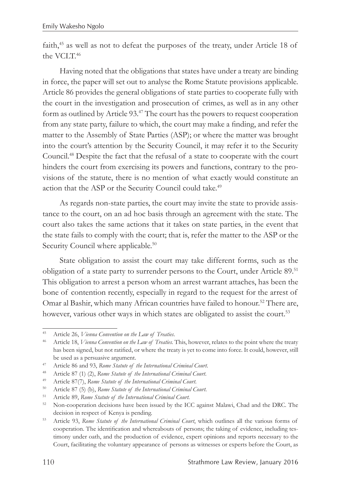faith,45 as well as not to defeat the purposes of the treaty, under Article 18 of the VCIT<sup>46</sup>

Having noted that the obligations that states have under a treaty are binding in force, the paper will set out to analyse the Rome Statute provisions applicable. Article 86 provides the general obligations of state parties to cooperate fully with the court in the investigation and prosecution of crimes, as well as in any other form as outlined by Article 93.47 The court has the powers to request cooperation from any state party, failure to which, the court may make a finding, and refer the matter to the Assembly of State Parties (ASP); or where the matter was brought into the court's attention by the Security Council, it may refer it to the Security Council.48 Despite the fact that the refusal of a state to cooperate with the court hinders the court from exercising its powers and functions, contrary to the provisions of the statute, there is no mention of what exactly would constitute an action that the ASP or the Security Council could take.<sup>49</sup>

As regards non-state parties, the court may invite the state to provide assistance to the court, on an ad hoc basis through an agreement with the state. The court also takes the same actions that it takes on state parties, in the event that the state fails to comply with the court; that is, refer the matter to the ASP or the Security Council where applicable.<sup>50</sup>

State obligation to assist the court may take different forms, such as the obligation of a state party to surrender persons to the Court, under Article 89.51 This obligation to arrest a person whom an arrest warrant attaches, has been the bone of contention recently, especially in regard to the request for the arrest of Omar al Bashir, which many African countries have failed to honour.<sup>52</sup> There are, however, various other ways in which states are obligated to assist the court.<sup>53</sup>

<sup>45</sup> Article 26, *Vienna Convention on the Law of Treaties*.

<sup>46</sup> Article 18, *Vienna Convention on the Law of Treaties.* This, however, relates to the point where the treaty has been signed, but not ratified, or where the treaty is yet to come into force. It could, however, still be used as a persuasive argument. 47 Article 86 and 93, *Rome Statute of the International Criminal Court.*

<sup>48</sup> Article 87 (1) (2), *Rome Statute of the International Criminal Court*.

<sup>49</sup> Article 87(7), *Rome Statute of the International Criminal Court.*

<sup>50</sup> Article 87 (5) (b), *Rome Statute of the International Criminal Court*.

<sup>51</sup> Article 89, *Rome Statute of the International Criminal Court.*

<sup>&</sup>lt;sup>52</sup> Non-cooperation decisions have been issued by the ICC against Malawi, Chad and the DRC. The decision in respect of Kenya is pending.

<sup>53</sup> Article 93, *Rome Statute of the International Criminal Court*, which outlines all the various forms of cooperation. The identification and whereabouts of persons; the taking of evidence, including testimony under oath, and the production of evidence, expert opinions and reports necessary to the Court, facilitating the voluntary appearance of persons as witnesses or experts before the Court, as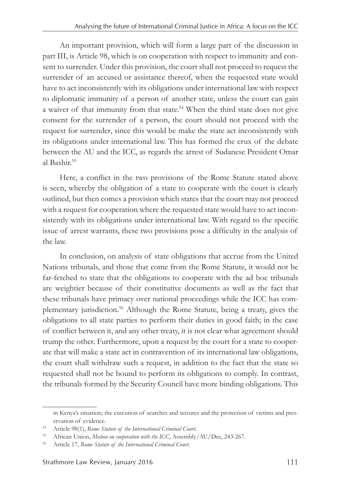An important provision, which will form a large part of the discussion in part III, is Article 98, which is on cooperation with respect to immunity and consent to surrender. Under this provision, the court shall not proceed to request the surrender of an accused or assistance thereof, when the requested state would have to act inconsistently with its obligations under international law with respect to diplomatic immunity of a person of another state, unless the court can gain a waiver of that immunity from that state.<sup>54</sup> When the third state does not give consent for the surrender of a person, the court should not proceed with the request for surrender, since this would be make the state act inconsistently with its obligations under international law. This has formed the crux of the debate between the AU and the ICC, as regards the arrest of Sudanese President Omar al Bashir.55

Here, a conflict in the two provisions of the Rome Statute stated above is seen, whereby the obligation of a state to cooperate with the court is clearly outlined, but then comes a provision which states that the court may not proceed with a request for cooperation where the requested state would have to act inconsistently with its obligations under international law. With regard to the specific issue of arrest warrants, these two provisions pose a difficulty in the analysis of the law.

In conclusion, on analysis of state obligations that accrue from the United Nations tribunals, and those that come from the Rome Statute, it would not be far-fetched to state that the obligations to cooperate with the ad hoc tribunals are weightier because of their constitutive documents as well as the fact that these tribunals have primacy over national proceedings while the ICC has complementary jurisdiction.56 Although the Rome Statute, being a treaty, gives the obligations to all state parties to perform their duties in good faith; in the case of conflict between it, and any other treaty, it is not clear what agreement should trump the other. Furthermore, upon a request by the court for a state to cooperate that will make a state act in contravention of its international law obligations, the court shall withdraw such a request, in addition to the fact that the state so requested shall not be bound to perform its obligations to comply. In contrast, the tribunals formed by the Security Council have more binding obligations. This

in Kenya's situation; the execution of searches and seizures and the protection of victims and preservation of evidence.

<sup>54</sup> Article 98(1), *Rome Statute of the International Criminal Court*.

<sup>55</sup> African Union, *Motion on cooperation with the ICC*, Assembly/AU/Dec, 243-267.

<sup>56</sup> Article 17, *Rome Statute of the International Criminal Court.*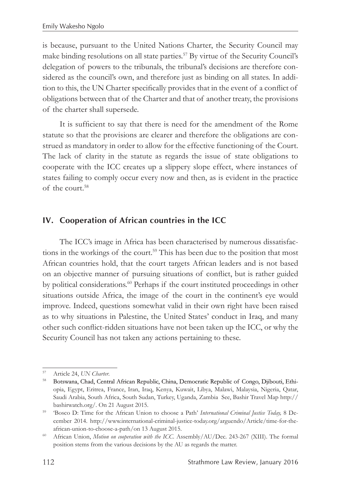is because, pursuant to the United Nations Charter, the Security Council may make binding resolutions on all state parties.57 By virtue of the Security Council's delegation of powers to the tribunals, the tribunal's decisions are therefore considered as the council's own, and therefore just as binding on all states. In addition to this, the UN Charter specifically provides that in the event of a conflict of obligations between that of the Charter and that of another treaty, the provisions of the charter shall supersede.

It is sufficient to say that there is need for the amendment of the Rome statute so that the provisions are clearer and therefore the obligations are construed as mandatory in order to allow for the effective functioning of the Court. The lack of clarity in the statute as regards the issue of state obligations to cooperate with the ICC creates up a slippery slope effect, where instances of states failing to comply occur every now and then, as is evident in the practice of the court.58

## **IV. Cooperation of African countries in the ICC**

The ICC's image in Africa has been characterised by numerous dissatisfactions in the workings of the court.<sup>59</sup> This has been due to the position that most African countries hold, that the court targets African leaders and is not based on an objective manner of pursuing situations of conflict, but is rather guided by political considerations.<sup>60</sup> Perhaps if the court instituted proceedings in other situations outside Africa, the image of the court in the continent's eye would improve. Indeed, questions somewhat valid in their own right have been raised as to why situations in Palestine, the United States' conduct in Iraq, and many other such conflict-ridden situations have not been taken up the ICC, or why the Security Council has not taken any actions pertaining to these.

<sup>57</sup> Article 24, *UN Charter*.

<sup>&</sup>lt;sup>58</sup> Botswana, Chad, Central African Republic, China, Democratic Republic of Congo, Djibouti, Ethiopia, Egypt, Eritrea, France, Iran, Iraq, Kenya, Kuwait, Libya, Malawi, Malaysia, Nigeria, Qatar, Saudi Arabia, South Africa, South Sudan, Turkey, Uganda, Zambia See, Bashir Travel Map http:// bashirwatch.org/. On 21 August 2015.

<sup>59</sup> 'Bosco D: Time for the African Union to choose a Path' *International Criminal Justice Today,* 8 December 2014. http://www.international-criminal-justice-today.org/arguendo/Article/time-for-theafrican-union-to-choose-a-path/on 13 August 2015.

<sup>60</sup> African Union, *Motion on cooperation with the ICC*. Assembly/AU/Dec. 243-267 (XIII). The formal position stems from the various decisions by the AU as regards the matter.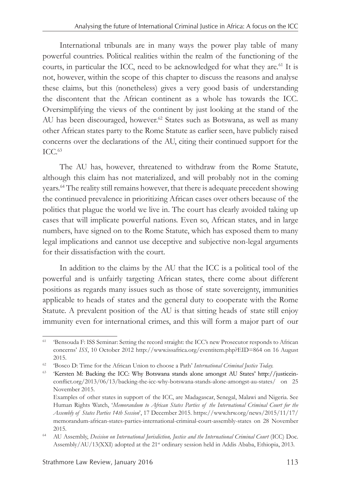International tribunals are in many ways the power play table of many powerful countries. Political realities within the realm of the functioning of the courts, in particular the ICC, need to be acknowledged for what they are.<sup>61</sup> It is not, however, within the scope of this chapter to discuss the reasons and analyse these claims, but this (nonetheless) gives a very good basis of understanding the discontent that the African continent as a whole has towards the ICC. Oversimplifying the views of the continent by just looking at the stand of the AU has been discouraged, however.<sup>62</sup> States such as Botswana, as well as many other African states party to the Rome Statute as earlier seen, have publicly raised concerns over the declarations of the AU, citing their continued support for the  $TCC<sub>63</sub>$ 

The AU has, however, threatened to withdraw from the Rome Statute, although this claim has not materialized, and will probably not in the coming years.64 The reality still remains however, that there is adequate precedent showing the continued prevalence in prioritizing African cases over others because of the politics that plague the world we live in. The court has clearly avoided taking up cases that will implicate powerful nations. Even so, African states, and in large numbers, have signed on to the Rome Statute, which has exposed them to many legal implications and cannot use deceptive and subjective non-legal arguments for their dissatisfaction with the court.

In addition to the claims by the AU that the ICC is a political tool of the powerful and is unfairly targeting African states, there come about different positions as regards many issues such as those of state sovereignty, immunities applicable to heads of states and the general duty to cooperate with the Rome Statute. A prevalent position of the AU is that sitting heads of state still enjoy immunity even for international crimes, and this will form a major part of our

<sup>61</sup> 'Bensouda F: ISS Seminar: Setting the record straight: the ICC's new Prosecutor responds to African concerns' *ISS*, 10 October 2012 http://www.issafrica.org/eventitem.php?EID=864 on 16 August 2015. 62 'Bosco D: Time for the African Union to choose a Path' *International Criminal Justice Today.*

<sup>&</sup>lt;sup>63</sup> 'Kersten M: Backing the ICC: Why Botswana stands alone amongst AU States' http://justiceinconflict.org/2013/06/13/backing-the-icc-why-botswana-stands-alone-amongst-au-states/ on 25 November 2015.

Examples of other states in support of the ICC, are Madagascar, Senegal, Malawi and Nigeria. See Human Rights Watch, '*Memorandum to African States Parties of the International Criminal Court for the Assembly of States Parties 14th Session*', 17 December 2015. https://www.hrw.org/news/2015/11/17/ memorandum-african-states-parties-international-criminal-court-assembly-states on 28 November 2015.

<sup>&</sup>lt;sup>64</sup> AU Assembly, *Decision on International Jurisdiction, Justice and the International Criminal Court (ICC) Doc.* Assembly/AU/13(XXI) adopted at the 21<sup>st</sup> ordinary session held in Addis Ababa, Ethiopia, 2013.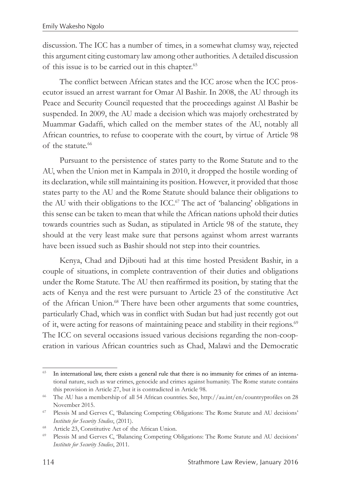discussion. The ICC has a number of times, in a somewhat clumsy way, rejected this argument citing customary law among other authorities. A detailed discussion of this issue is to be carried out in this chapter.<sup>65</sup>

The conflict between African states and the ICC arose when the ICC prosecutor issued an arrest warrant for Omar Al Bashir. In 2008, the AU through its Peace and Security Council requested that the proceedings against Al Bashir be suspended. In 2009, the AU made a decision which was majorly orchestrated by Muammar Gadaffi, which called on the member states of the AU, notably all African countries, to refuse to cooperate with the court, by virtue of Article 98 of the statute.<sup>66</sup>

Pursuant to the persistence of states party to the Rome Statute and to the AU, when the Union met in Kampala in 2010, it dropped the hostile wording of its declaration, while still maintaining its position. However, it provided that those states party to the AU and the Rome Statute should balance their obligations to the AU with their obligations to the ICC.<sup>67</sup> The act of 'balancing' obligations in this sense can be taken to mean that while the African nations uphold their duties towards countries such as Sudan, as stipulated in Article 98 of the statute, they should at the very least make sure that persons against whom arrest warrants have been issued such as Bashir should not step into their countries.

Kenya, Chad and Djibouti had at this time hosted President Bashir, in a couple of situations, in complete contravention of their duties and obligations under the Rome Statute. The AU then reaffirmed its position, by stating that the acts of Kenya and the rest were pursuant to Article 23 of the constitutive Act of the African Union.<sup>68</sup> There have been other arguments that some countries, particularly Chad, which was in conflict with Sudan but had just recently got out of it, were acting for reasons of maintaining peace and stability in their regions.<sup>69</sup> The ICC on several occasions issued various decisions regarding the non-cooperation in various African countries such as Chad, Malawi and the Democratic

<sup>&</sup>lt;sup>65</sup> In international law, there exists a general rule that there is no immunity for crimes of an international nature, such as war crimes, genocide and crimes against humanity. The Rome statute contains this provision in Article 27, but it is contradicted in Article 98.<br><sup>66</sup> The AU has a membership of all 54 African countries. See, http://au.int/en/countryprofiles on 28

November 2015.<br>
<sup>67</sup> Plessis M and Gerves C, 'Balancing Competing Obligations: The Rome Statute and AU decisions'

*Institute for Security Studies*, (2011).

<sup>&</sup>lt;sup>68</sup> Article 23, Constitutive Act of the African Union.<br><sup>69</sup> Plessis M and Gerves C, 'Balancing Competing Obligations: The Rome Statute and AU decisions' *Institute for Security Studies*, 2011*.*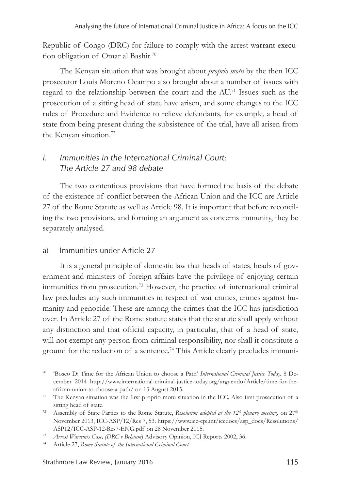Republic of Congo (DRC) for failure to comply with the arrest warrant execution obligation of Omar al Bashir.<sup>70</sup>

The Kenyan situation that was brought about *proprio motu* by the then ICC prosecutor Louis Moreno Ocampo also brought about a number of issues with regard to the relationship between the court and the AU.71 Issues such as the prosecution of a sitting head of state have arisen, and some changes to the ICC rules of Procedure and Evidence to relieve defendants, for example, a head of state from being present during the subsistence of the trial, have all arisen from the Kenyan situation.72

## *i. Immunities in the International Criminal Court: The Article 27 and 98 debate*

The two contentious provisions that have formed the basis of the debate of the existence of conflict between the African Union and the ICC are Article 27 of the Rome Statute as well as Article 98. It is important that before reconciling the two provisions, and forming an argument as concerns immunity, they be separately analysed.

#### a) Immunities under Article 27

It is a general principle of domestic law that heads of states, heads of government and ministers of foreign affairs have the privilege of enjoying certain immunities from prosecution.<sup>73</sup> However, the practice of international criminal law precludes any such immunities in respect of war crimes, crimes against humanity and genocide. These are among the crimes that the ICC has jurisdiction over. In Article 27 of the Rome statute states that the statute shall apply without any distinction and that official capacity, in particular, that of a head of state, will not exempt any person from criminal responsibility, nor shall it constitute a ground for the reduction of a sentence.<sup>74</sup> This Article clearly precludes immuni-

<sup>70</sup> 'Bosco D: Time for the African Union to choose a Path' *International Criminal Justice Today,* 8 December 2014 http://www.international-criminal-justice-today.org/arguendo/Article/time-for-theafrican-union-to-choose-a-path/ on 13 August 2015.

<sup>&</sup>lt;sup>71</sup> The Kenyan situation was the first proprio motu situation in the ICC. Also first prosecution of a sitting head of state.

<sup>72</sup> Assembly of State Parties to the Rome Statute, *Resolution adopted at the 12th plenary meeting,* on 27th November 2013, ICC-ASP/12/Res 7, 53. https://www.icc-cpi.int/iccdocs/asp\_docs/Resolutions/ ASP12/ICC-ASP-12-Res7-ENG.pdf on 28 November 2015.

<sup>73</sup> *Arrest Warrants Case, (DRC v Belgium*) Advisory Opinion, ICJ Reports 2002, 36.

<sup>74</sup> Article 27, *Rome Statute of the International Criminal Court.*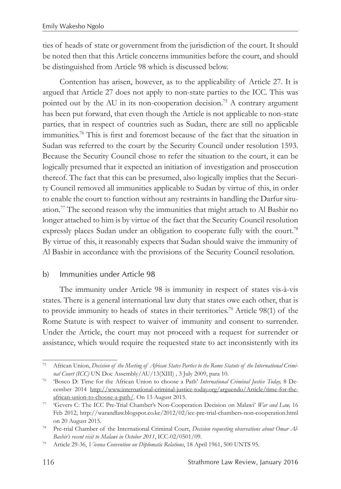ties of heads of state or government from the jurisdiction of the court. It should be noted then that this Article concerns immunities before the court, and should be distinguished from Article 98 which is discussed below.

Contention has arisen, however, as to the applicability of Article 27. It is argued that Article 27 does not apply to non-state parties to the ICC. This was pointed out by the AU in its non-cooperation decision.<sup>75</sup> A contrary argument has been put forward, that even though the Article is not applicable to non-state parties, that in respect of countries such as Sudan, there are still no applicable immunities.76 This is first and foremost because of the fact that the situation in Sudan was referred to the court by the Security Council under resolution 1593. Because the Security Council chose to refer the situation to the court, it can be logically presumed that it expected an initiation of investigation and prosecution thereof. The fact that this can be presumed, also logically implies that the Security Council removed all immunities applicable to Sudan by virtue of this, in order to enable the court to function without any restraints in handling the Darfur situation.77 The second reason why the immunities that might attach to Al Bashir no longer attached to him is by virtue of the fact that the Security Council resolution expressly places Sudan under an obligation to cooperate fully with the court.<sup>78</sup> By virtue of this, it reasonably expects that Sudan should waive the immunity of Al Bashir in accordance with the provisions of the Security Council resolution.

#### b) Immunities under Article 98

The immunity under Article 98 is immunity in respect of states vis-à-vis states. There is a general international law duty that states owe each other, that is to provide immunity to heads of states in their territories.79 Article 98(1) of the Rome Statute is with respect to waiver of immunity and consent to surrender. Under the Article, the court may not proceed with a request for surrender or assistance, which would require the requested state to act inconsistently with its

<sup>75</sup> African Union, *Decision of the Meeting of African States Parties to the Rome Statute of the International Criminal Court (ICC)* UN Doc Assembly/AU/13(XIII) *,* 3 July 2009, para 10.

<sup>76</sup> 'Bosco D: Time for the African Union to choose a Path' *International Criminal Justice Today,* 8 December 2014 http://www.international-criminal-justice-today.org/arguendo/Article/time-for-theafrican-union-to-choose-a-path/. On 13 August 2015.

<sup>77</sup> 'Gevers C: The ICC Pre-Trial Chamber's Non-Cooperation Decision on Malawi' *War and Law,* 16 Feb 2012, http://warandlaw.blogspot.co.ke/2012/02/icc-pre-trial-chambers-non-cooperation.html on 20 August 2015.

<sup>78</sup> Pre-trial Chamber of the International Criminal Court, *Decision requesting observations about Omar Al-Bashir's recent visit to Malawi in October 2011*, ICC-02/0501/09.

<sup>79</sup> Article 29-36, *Vienna Convention on Diplomatic Relations*, 18 April 1961, 500 UNTS 95.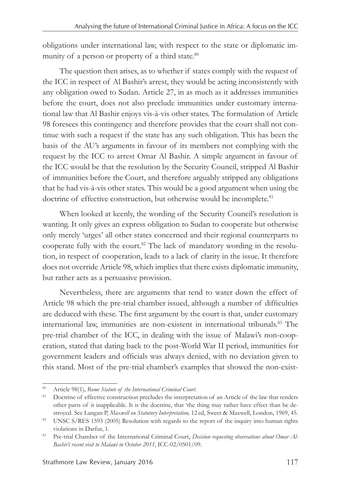obligations under international law, with respect to the state or diplomatic immunity of a person or property of a third state.<sup>80</sup>

The question then arises, as to whether if states comply with the request of the ICC in respect of Al Bashir's arrest, they would be acting inconsistently with any obligation owed to Sudan. Article 27, in as much as it addresses immunities before the court, does not also preclude immunities under customary international law that Al Bashir enjoys vis-à-vis other states. The formulation of Article 98 foresees this contingency and therefore provides that the court shall not continue with such a request if the state has any such obligation. This has been the basis of the AU's arguments in favour of its members not complying with the request by the ICC to arrest Omar Al Bashir. A simple argument in favour of the ICC would be that the resolution by the Security Council, stripped Al Bashir of immunities before the Court, and therefore arguably stripped any obligations that he had vis-à-vis other states. This would be a good argument when using the doctrine of effective construction, but otherwise would be incomplete.<sup>81</sup>

When looked at keenly, the wording of the Security Council's resolution is wanting. It only gives an express obligation to Sudan to cooperate but otherwise only merely 'urges' all other states concerned and their regional counterparts to cooperate fully with the court.82 The lack of mandatory wording in the resolution, in respect of cooperation, leads to a lack of clarity in the issue. It therefore does not override Article 98, which implies that there exists diplomatic immunity, but rather acts as a persuasive provision.

Nevertheless, there are arguments that tend to water down the effect of Article 98 which the pre-trial chamber issued, although a number of difficulties are deduced with these. The first argument by the court is that, under customary international law, immunities are non-existent in international tribunals.<sup>83</sup> The pre-trial chamber of the ICC, in dealing with the issue of Malawi's non-cooperation, stated that dating back to the post-World War II period, immunities for government leaders and officials was always denied, with no deviation given to this stand. Most of the pre-trial chamber's examples that showed the non-exist-

<sup>80</sup> Article 98(1), *Rome Statute of the International Criminal Court.*

<sup>&</sup>lt;sup>81</sup> Doctrine of effective construction precludes the interpretation of an Article of the law that renders other parts of it inapplicable. It is the doctrine, that 'the thing may rather have effect than be destroyed. See Langan P, *Maxwell on Statutory Interpretation,* 12 ed, Sweet & Maxwell, London, 1969, 45.

<sup>&</sup>lt;sup>82</sup> UNSC S/RES 1593 (2005) Resolution with regards to the report of the inquiry into human rights violations in Darfur, 1.

<sup>83</sup> Pre-trial Chamber of the International Criminal Court, *Decision requesting observations about Omar Al-Bashir's recent visit to Malawi in October 2011*, ICC-02/0501/09.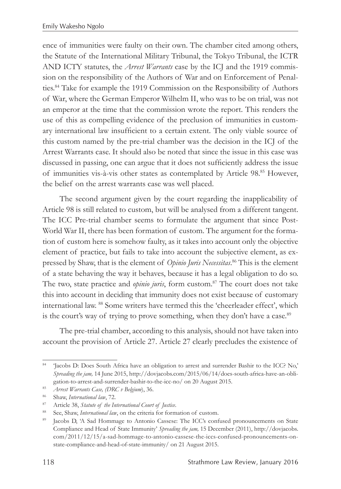ence of immunities were faulty on their own. The chamber cited among others, the Statute of the International Military Tribunal, the Tokyo Tribunal, the ICTR AND ICTY statutes, the *Arrest Warrants* case by the ICJ and the 1919 commission on the responsibility of the Authors of War and on Enforcement of Penalties.84 Take for example the 1919 Commission on the Responsibility of Authors of War, where the German Emperor Wilhelm II, who was to be on trial, was not an emperor at the time that the commission wrote the report. This renders the use of this as compelling evidence of the preclusion of immunities in customary international law insufficient to a certain extent. The only viable source of this custom named by the pre-trial chamber was the decision in the ICJ of the Arrest Warrants case. It should also be noted that since the issue in this case was discussed in passing, one can argue that it does not sufficiently address the issue of immunities vis-à-vis other states as contemplated by Article 98.85 However, the belief on the arrest warrants case was well placed.

The second argument given by the court regarding the inapplicability of Article 98 is still related to custom, but will be analysed from a different tangent. The ICC Pre-trial chamber seems to formulate the argument that since Post-World War II, there has been formation of custom. The argument for the formation of custom here is somehow faulty, as it takes into account only the objective element of practice, but fails to take into account the subjective element, as expressed by Shaw, that is the element of *Opinio Juris Necessitas*. 86 This is the element of a state behaving the way it behaves, because it has a legal obligation to do so. The two, state practice and *opinio juris*, form custom.87 The court does not take this into account in deciding that immunity does not exist because of customary international law. 88 Some writers have termed this the 'cheerleader effect', which is the court's way of trying to prove something, when they don't have a case.<sup>89</sup>

The pre-trial chamber, according to this analysis, should not have taken into account the provision of Article 27. Article 27 clearly precludes the existence of

<sup>84</sup> 'Jacobs D: Does South Africa have an obligation to arrest and surrender Bashir to the ICC? No,' *Spreading the jam,* 14 June 2015, http://dovjacobs.com/2015/06/14/does-south-africa-have-an-obligation-to-arrest-and-surrender-bashir-to-the-icc-no/ on 20 August 2015. 85 *Arrest Warrants Case, (DRC v Belgium*), 36.

<sup>86</sup> Shaw, *International law*, 72.

<sup>&</sup>lt;sup>87</sup> Article 38, *Statute of the International Court of Justice*.<br><sup>88</sup> See, Shaw, *International law*, on the criteria for formation of custom.<br><sup>89</sup> Jacobs D, 'A Sad Hommage to Antonio Cassese: The ICC's confused pronounce Compliance and Head of State Immunity' *Spreading the jam,* 15 December (2011), http://dovjacobs. com/2011/12/15/a-sad-hommage-to-antonio-cassese-the-iccs-confused-pronouncements-onstate-compliance-and-head-of-state-immunity/ on 21 August 2015.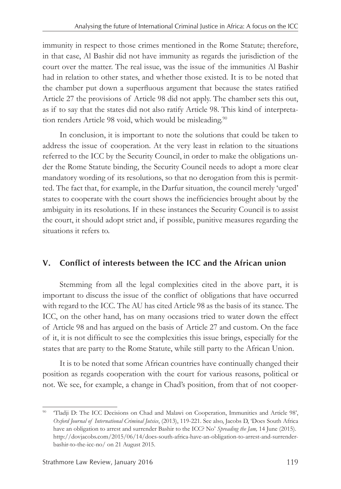immunity in respect to those crimes mentioned in the Rome Statute; therefore, in that case, Al Bashir did not have immunity as regards the jurisdiction of the court over the matter. The real issue, was the issue of the immunities Al Bashir had in relation to other states, and whether those existed. It is to be noted that the chamber put down a superfluous argument that because the states ratified Article 27 the provisions of Article 98 did not apply. The chamber sets this out, as if to say that the states did not also ratify Article 98. This kind of interpretation renders Article 98 void, which would be misleading.<sup>90</sup>

In conclusion, it is important to note the solutions that could be taken to address the issue of cooperation. At the very least in relation to the situations referred to the ICC by the Security Council, in order to make the obligations under the Rome Statute binding, the Security Council needs to adopt a more clear mandatory wording of its resolutions, so that no derogation from this is permitted. The fact that, for example, in the Darfur situation, the council merely 'urged' states to cooperate with the court shows the inefficiencies brought about by the ambiguity in its resolutions. If in these instances the Security Council is to assist the court, it should adopt strict and, if possible, punitive measures regarding the situations it refers to.

# **V. Conflict of interests between the ICC and the African union**

Stemming from all the legal complexities cited in the above part, it is important to discuss the issue of the conflict of obligations that have occurred with regard to the ICC. The AU has cited Article 98 as the basis of its stance. The ICC, on the other hand, has on many occasions tried to water down the effect of Article 98 and has argued on the basis of Article 27 and custom. On the face of it, it is not difficult to see the complexities this issue brings, especially for the states that are party to the Rome Statute, while still party to the African Union.

It is to be noted that some African countries have continually changed their position as regards cooperation with the court for various reasons, political or not. We see, for example, a change in Chad's position, from that of not cooper-

<sup>90</sup> 'Tladji D: The ICC Decisions on Chad and Malawi on Cooperation, Immunities and Article 98', *Oxford Journal of International Criminal Jutsice*, (2013), 119-221. See also, Jacobs D, 'Does South Africa have an obligation to arrest and surrender Bashir to the ICC? No' *Spreading the Jam,* 14 June (2015). http://dovjacobs.com/2015/06/14/does-south-africa-have-an-obligation-to-arrest-and-surrenderbashir-to-the-icc-no/ on 21 August 2015.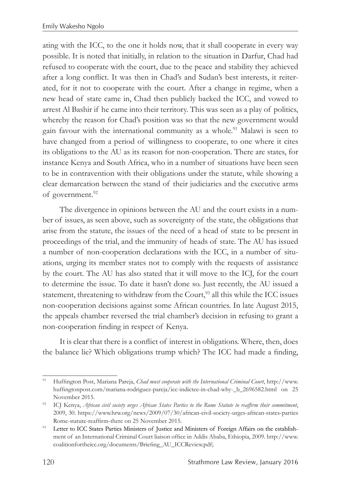ating with the ICC, to the one it holds now, that it shall cooperate in every way possible. It is noted that initially, in relation to the situation in Darfur, Chad had refused to cooperate with the court, due to the peace and stability they achieved after a long conflict. It was then in Chad's and Sudan's best interests, it reiterated, for it not to cooperate with the court. After a change in regime, when a new head of state came in, Chad then publicly backed the ICC, and vowed to arrest Al Bashir if he came into their territory. This was seen as a play of politics, whereby the reason for Chad's position was so that the new government would gain favour with the international community as a whole.<sup>91</sup> Malawi is seen to have changed from a period of willingness to cooperate, to one where it cites its obligations to the AU as its reason for non-cooperation. There are states, for instance Kenya and South Africa, who in a number of situations have been seen to be in contravention with their obligations under the statute, while showing a clear demarcation between the stand of their judiciaries and the executive arms of government.<sup>92</sup>

The divergence in opinions between the AU and the court exists in a number of issues, as seen above, such as sovereignty of the state, the obligations that arise from the statute, the issues of the need of a head of state to be present in proceedings of the trial, and the immunity of heads of state. The AU has issued a number of non-cooperation declarations with the ICC, in a number of situations, urging its member states not to comply with the requests of assistance by the court. The AU has also stated that it will move to the ICJ, for the court to determine the issue. To date it hasn't done so. Just recently, the AU issued a statement, threatening to withdraw from the Court,<sup>93</sup> all this while the ICC issues non-cooperation decisions against some African countries. In late August 2015, the appeals chamber reversed the trial chamber's decision in refusing to grant a non-cooperation finding in respect of Kenya.

It is clear that there is a conflict of interest in obligations. Where, then, does the balance lie? Which obligations trump which? The ICC had made a finding,

<sup>91</sup> Huffington Post, Mariana Pareja, *Chad must cooperate with the International Criminal Court*, http://www. huffingtonpost.com/mariana-rodriguez-pareja/icc-indictee-in-chad-why-\_b\_2696582.html on 25 November 2015.

<sup>92</sup> ICJ Kenya, *African civil society urges African States Parties to the Rome Statute to reaffirm their commitment*, 2009, 30. https://www.hrw.org/news/2009/07/30/african-civil-society-urges-african-states-parties Rome-statute-reaffirm-there on 25 November 2015.

<sup>93</sup> Letter to ICC States Parties Ministers of Justice and Ministers of Foreign Affairs on the establishment of an International Criminal Court liaison office in Addis Ababa, Ethiopia, 2009. http://www. coalitionfortheicc.org/documents/Briefing\_AU\_ICCReview.pdf;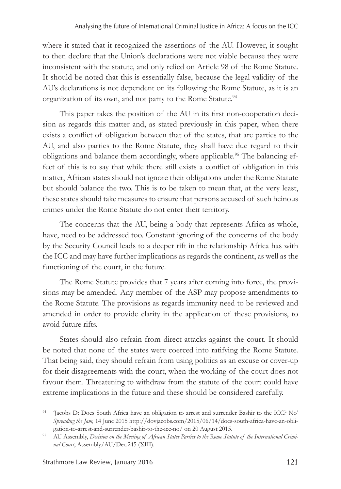where it stated that it recognized the assertions of the AU. However, it sought to then declare that the Union's declarations were not viable because they were inconsistent with the statute, and only relied on Article 98 of the Rome Statute. It should be noted that this is essentially false, because the legal validity of the AU's declarations is not dependent on its following the Rome Statute, as it is an organization of its own, and not party to the Rome Statute.<sup>94</sup>

This paper takes the position of the AU in its first non-cooperation decision as regards this matter and, as stated previously in this paper, when there exists a conflict of obligation between that of the states, that are parties to the AU, and also parties to the Rome Statute, they shall have due regard to their obligations and balance them accordingly, where applicable.95 The balancing effect of this is to say that while there still exists a conflict of obligation in this matter, African states should not ignore their obligations under the Rome Statute but should balance the two. This is to be taken to mean that, at the very least, these states should take measures to ensure that persons accused of such heinous crimes under the Rome Statute do not enter their territory.

The concerns that the AU, being a body that represents Africa as whole, have, need to be addressed too. Constant ignoring of the concerns of the body by the Security Council leads to a deeper rift in the relationship Africa has with the ICC and may have further implications as regards the continent, as well as the functioning of the court, in the future.

The Rome Statute provides that 7 years after coming into force, the provisions may be amended. Any member of the ASP may propose amendments to the Rome Statute. The provisions as regards immunity need to be reviewed and amended in order to provide clarity in the application of these provisions, to avoid future rifts.

States should also refrain from direct attacks against the court. It should be noted that none of the states were coerced into ratifying the Rome Statute. That being said, they should refrain from using politics as an excuse or cover-up for their disagreements with the court, when the working of the court does not favour them. Threatening to withdraw from the statute of the court could have extreme implications in the future and these should be considered carefully.

<sup>94</sup> 'Jacobs D: Does South Africa have an obligation to arrest and surrender Bashir to the ICC? No' *Spreading the Jam,* 14 June 2015 http://dovjacobs.com/2015/06/14/does-south-africa-have-an-obligation-to-arrest-and-surrender-bashir-to-the-icc-no/ on 20 August 2015.

<sup>95</sup> AU Assembly, *Decision on the Meeting of African States Parties to the Rome Statute of the International Criminal Court*, Assembly/AU/Dec.245 (XIII).